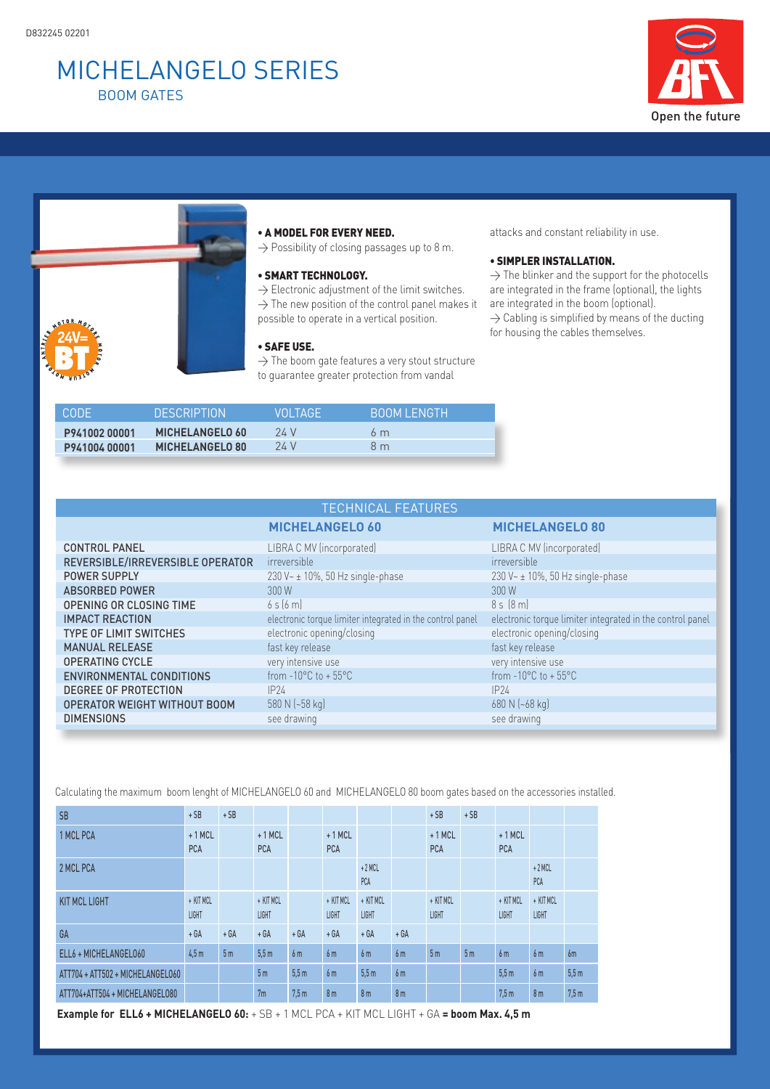# MiCHELANGELo sEriEs BooM GAtEs





### • A MODEL FOR EVERY NEED.

 $\rightarrow$  Possibility of closing passages up to 8 m.

### • SMART TECHNOLOGY.

 $\rightarrow$  Electronic adjustment of the limit switches.  $\rightarrow$  The new position of the control panel makes it possible to operate in a vertical position.

# • SAFE USE.

 $\rightarrow$  The boom gate features a very stout structure to guarantee greater protection from vandal

attacks and constant reliability in use.

## • SIMPLER INSTALLATION.

 $\rightarrow$  The blinker and the support for the photocells are integrated in the frame (optional), the lights are integrated in the boom (optional).  $\rightarrow$  Cabling is simplified by means of the ducting for housing the cables themselves.

| <b>CODE</b>  | <b>DESCRIPTION</b>     | VOLTAGE | BOOM LENGTH |
|--------------|------------------------|---------|-------------|
| P94100200001 | <b>MICHELANGELO 60</b> | 24 V    | 6 m         |
| P94100400001 | <b>MICHELANGELO 80</b> | 24 V    | 8 m         |

| <b>TECHNICAL FEATURES</b>           |                                                           |                                                           |  |  |  |  |  |
|-------------------------------------|-----------------------------------------------------------|-----------------------------------------------------------|--|--|--|--|--|
|                                     | <b>MICHELANGELO 60</b>                                    | <b>MICHELANGELO 80</b>                                    |  |  |  |  |  |
| <b>CONTROL PANEL</b>                | LIBRA C MV (incorporated)                                 | LIBRA C MV (incorporated)                                 |  |  |  |  |  |
| REVERSIBLE/IRREVERSIBLE OPERATOR    | irreversible                                              | irreversible                                              |  |  |  |  |  |
| <b>POWER SUPPLY</b>                 | 230 V~ ± 10%, 50 Hz single-phase                          | 230 V ~ ± 10%, 50 Hz single-phase                         |  |  |  |  |  |
| <b>ABSORBED POWER</b>               | 300 W                                                     | 300W                                                      |  |  |  |  |  |
| <b>OPENING OR CLOSING TIME</b>      | 65[6m]                                                    | $85$ $(8m)$                                               |  |  |  |  |  |
| <b>IMPACT REACTION</b>              | electronic torque limiter integrated in the control panel | electronic torque limiter integrated in the control panel |  |  |  |  |  |
| <b>TYPE OF LIMIT SWITCHES</b>       | electronic opening/closing                                | electronic opening/closing                                |  |  |  |  |  |
| <b>MANUAL RELEASE</b>               | fast key release                                          | fast key release                                          |  |  |  |  |  |
| <b>OPERATING CYCLE</b>              | very intensive use                                        | very intensive use                                        |  |  |  |  |  |
| <b>ENVIRONMENTAL CONDITIONS</b>     | from $-10^{\circ}$ C to $+55^{\circ}$ C                   | from $-10^{\circ}$ C to $+55^{\circ}$ C                   |  |  |  |  |  |
| <b>DEGREE OF PROTECTION</b>         | IP24                                                      | IP24                                                      |  |  |  |  |  |
| <b>OPERATOR WEIGHT WITHOUT BOOM</b> | 580 N (~58 kg)                                            | 680 N (~68 kg)                                            |  |  |  |  |  |
| <b>DIMENSIONS</b>                   | see drawing                                               | see drawing                                               |  |  |  |  |  |

Calculating the maximum boom lenght of MICHELANGELO 60 and MICHELANGELO 80 boom gates based on the accessories installed.

| <b>SB</b>                        | $+SB$                     | $+SB$          |                           |                  |                           |                           |                | $+SB$                  | $+SB$          |                           |                           |      |
|----------------------------------|---------------------------|----------------|---------------------------|------------------|---------------------------|---------------------------|----------------|------------------------|----------------|---------------------------|---------------------------|------|
| 1 MCL PCA                        | $+1$ MCL<br><b>PCA</b>    |                | $+1$ MCL<br><b>PCA</b>    |                  | $+1$ MCL<br><b>PCA</b>    |                           |                | $+1$ MCL<br><b>PCA</b> |                | $+1$ MCL<br><b>PCA</b>    |                           |      |
| 2 MCL PCA                        |                           |                |                           |                  |                           | $+2$ MCL<br>PCA           |                |                        |                |                           | $+2$ MCL<br>PCA           |      |
| <b>KIT MCL LIGHT</b>             | + KIT MCL<br><b>LIGHT</b> |                | + KIT MCL<br><b>LIGHT</b> |                  | + KIT MCL<br><b>LIGHT</b> | + KIT MCL<br><b>LIGHT</b> |                | + KIT MCL<br>LIGHT     |                | + KIT MCL<br><b>LIGHT</b> | + KIT MCL<br><b>LIGHT</b> |      |
| GA                               | $+ GA$                    | $+ GA$         | $+ GA$                    | $+ GA$           | $+ GA$                    | $+ GA$                    | $+ GA$         |                        |                |                           |                           |      |
| ELL6 + MICHELANGEL060            | 4,5m                      | 5 <sub>m</sub> | 5.5 <sub>m</sub>          | 6 <sub>m</sub>   | 6 <sub>m</sub>            | 6 <sub>m</sub>            | 6 <sub>m</sub> | 5 <sub>m</sub>         | 5 <sub>m</sub> | 6 <sub>m</sub>            | 6m                        | 6m   |
| ATT704 + ATT502 + MICHELANGEL060 |                           |                | 5 <sub>m</sub>            | 5.5m             | 6 <sub>m</sub>            | 5.5m                      | 6 <sub>m</sub> |                        |                | 5.5m                      | 6 <sub>m</sub>            | 5.5m |
| ATT704+ATT504 + MICHELANGEL080   |                           |                | 7 <sub>m</sub>            | 7.5 <sub>m</sub> | 8 <sub>m</sub>            | 8 <sub>m</sub>            | 8 <sub>m</sub> |                        |                | 7.5 <sub>m</sub>          | 8 <sub>m</sub>            | 7.5m |

**Example for ELL6 + MICHELANGELO 60:** + SB + 1 MCL PCA + KIT MCL LIGHT + GA **= boom Max. 4,5 m**